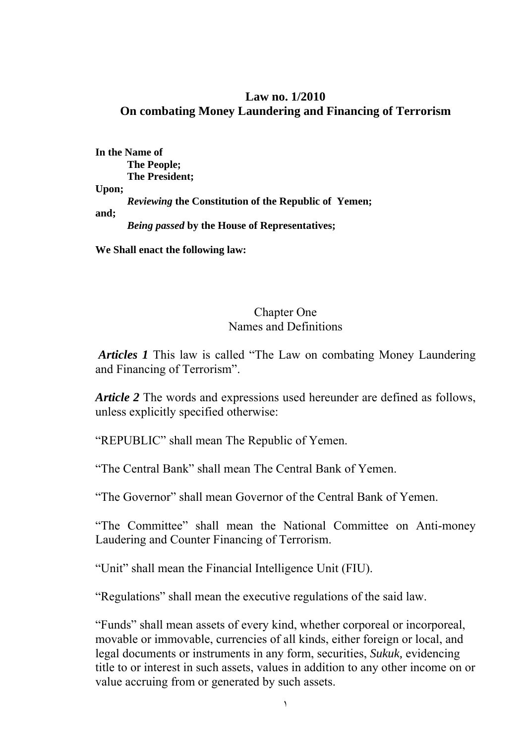#### **Law no. 1/2010 On combating Money Laundering and Financing of Terrorism**

**In the Name of The People; The President; Upon;**  *Reviewing* **the Constitution of the Republic of Yemen; and;**  *Being passed* **by the House of Representatives;** 

**We Shall enact the following law:**

#### Chapter One Names and Definitions

*Articles 1* This law is called "The Law on combating Money Laundering and Financing of Terrorism".

*Article 2* The words and expressions used hereunder are defined as follows, unless explicitly specified otherwise:

"REPUBLIC" shall mean The Republic of Yemen.

"The Central Bank" shall mean The Central Bank of Yemen.

"The Governor" shall mean Governor of the Central Bank of Yemen.

"The Committee" shall mean the National Committee on Anti-money Laudering and Counter Financing of Terrorism.

"Unit" shall mean the Financial Intelligence Unit (FIU).

"Regulations" shall mean the executive regulations of the said law.

"Funds" shall mean assets of every kind, whether corporeal or incorporeal, movable or immovable, currencies of all kinds, either foreign or local, and legal documents or instruments in any form, securities, *Sukuk,* evidencing title to or interest in such assets, values in addition to any other income on or value accruing from or generated by such assets.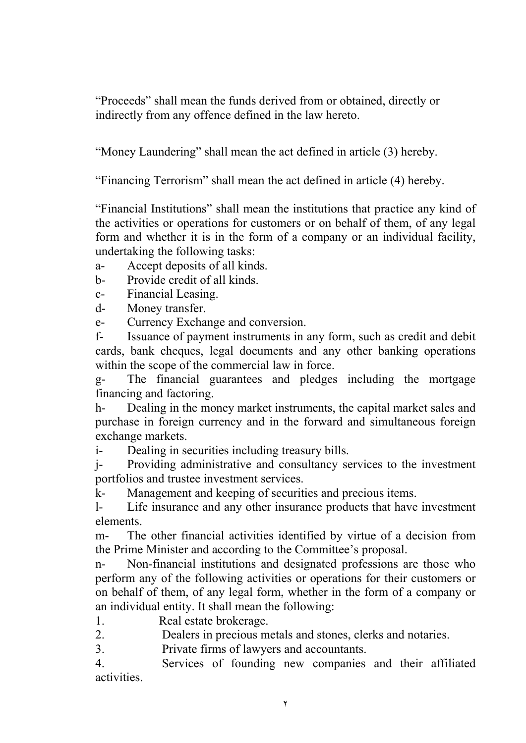"Proceeds" shall mean the funds derived from or obtained, directly or indirectly from any offence defined in the law hereto.

"Money Laundering" shall mean the act defined in article (3) hereby.

"Financing Terrorism" shall mean the act defined in article (4) hereby.

"Financial Institutions" shall mean the institutions that practice any kind of the activities or operations for customers or on behalf of them, of any legal form and whether it is in the form of a company or an individual facility, undertaking the following tasks:

a- Accept deposits of all kinds.

b- Provide credit of all kinds.

c- Financial Leasing.

d- Money transfer.

e- Currency Exchange and conversion.

f- Issuance of payment instruments in any form, such as credit and debit cards, bank cheques, legal documents and any other banking operations within the scope of the commercial law in force.

g- The financial guarantees and pledges including the mortgage financing and factoring.

h- Dealing in the money market instruments, the capital market sales and purchase in foreign currency and in the forward and simultaneous foreign exchange markets.

i- Dealing in securities including treasury bills.

j- Providing administrative and consultancy services to the investment portfolios and trustee investment services.

k- Management and keeping of securities and precious items.

l- Life insurance and any other insurance products that have investment elements.

m- The other financial activities identified by virtue of a decision from the Prime Minister and according to the Committee's proposal.

n- Non-financial institutions and designated professions are those who perform any of the following activities or operations for their customers or on behalf of them, of any legal form, whether in the form of a company or an individual entity. It shall mean the following:

1. Real estate brokerage.

2. Dealers in precious metals and stones, clerks and notaries.

3. Private firms of lawyers and accountants.

4. Services of founding new companies and their affiliated activities.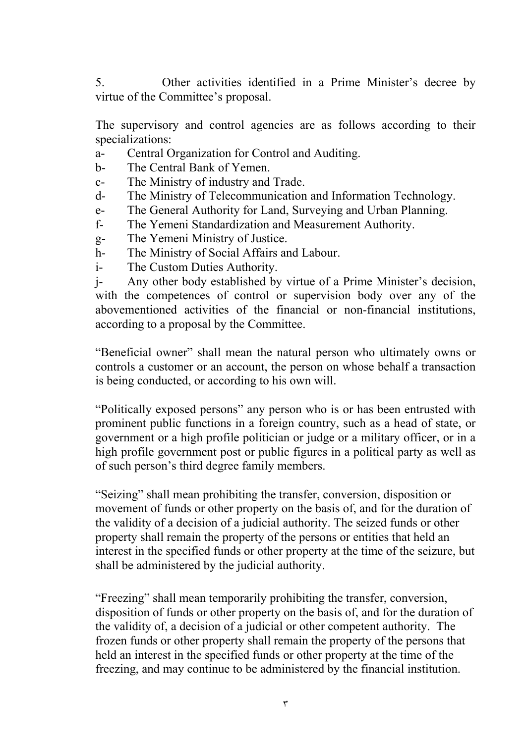5. Other activities identified in a Prime Minister's decree by virtue of the Committee's proposal.

The supervisory and control agencies are as follows according to their specializations:

- a- Central Organization for Control and Auditing.
- b- The Central Bank of Yemen.
- c- The Ministry of industry and Trade.
- d- The Ministry of Telecommunication and Information Technology.
- e- The General Authority for Land, Surveying and Urban Planning.
- f- The Yemeni Standardization and Measurement Authority.
- g- The Yemeni Ministry of Justice.
- h- The Ministry of Social Affairs and Labour.
- i- The Custom Duties Authority.

j- Any other body established by virtue of a Prime Minister's decision, with the competences of control or supervision body over any of the abovementioned activities of the financial or non-financial institutions, according to a proposal by the Committee.

"Beneficial owner" shall mean the natural person who ultimately owns or controls a customer or an account, the person on whose behalf a transaction is being conducted, or according to his own will.

"Politically exposed persons" any person who is or has been entrusted with prominent public functions in a foreign country, such as a head of state, or government or a high profile politician or judge or a military officer, or in a high profile government post or public figures in a political party as well as of such person's third degree family members.

"Seizing" shall mean prohibiting the transfer, conversion, disposition or movement of funds or other property on the basis of, and for the duration of the validity of a decision of a judicial authority. The seized funds or other property shall remain the property of the persons or entities that held an interest in the specified funds or other property at the time of the seizure, but shall be administered by the judicial authority.

"Freezing" shall mean temporarily prohibiting the transfer, conversion, disposition of funds or other property on the basis of, and for the duration of the validity of, a decision of a judicial or other competent authority. The frozen funds or other property shall remain the property of the persons that held an interest in the specified funds or other property at the time of the freezing, and may continue to be administered by the financial institution.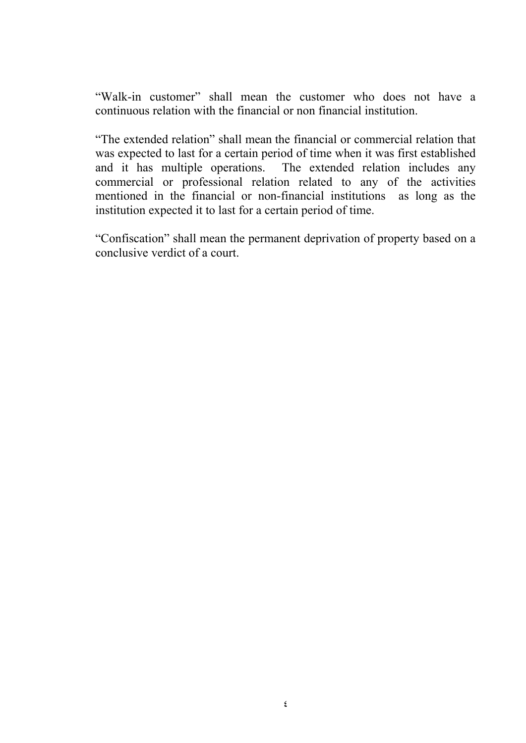"Walk-in customer" shall mean the customer who does not have a continuous relation with the financial or non financial institution.

"The extended relation" shall mean the financial or commercial relation that was expected to last for a certain period of time when it was first established and it has multiple operations. The extended relation includes any commercial or professional relation related to any of the activities mentioned in the financial or non-financial institutions as long as the institution expected it to last for a certain period of time.

"Confiscation" shall mean the permanent deprivation of property based on a conclusive verdict of a court.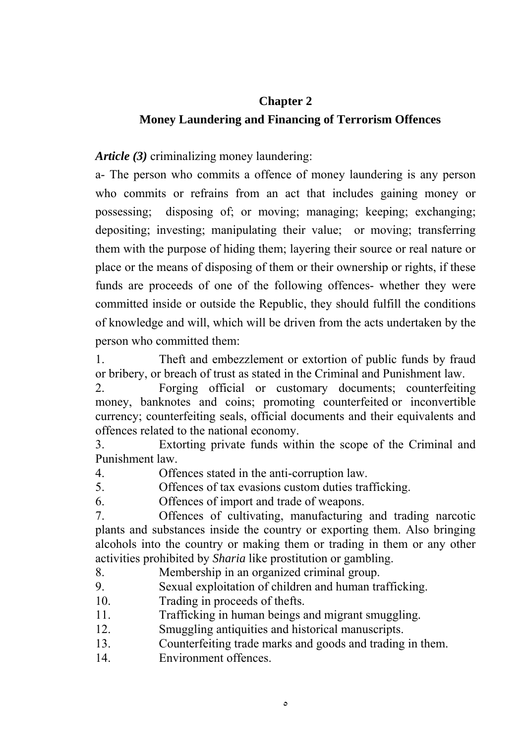#### **Chapter 2**

### **Money Laundering and Financing of Terrorism Offences**

*Article (3)* criminalizing money laundering:

a- The person who commits a offence of money laundering is any person who commits or refrains from an act that includes gaining money or possessing; disposing of; or moving; managing; keeping; exchanging; depositing; investing; manipulating their value; or moving; transferring them with the purpose of hiding them; layering their source or real nature or place or the means of disposing of them or their ownership or rights, if these funds are proceeds of one of the following offences- whether they were committed inside or outside the Republic, they should fulfill the conditions of knowledge and will, which will be driven from the acts undertaken by the person who committed them:

1. Theft and embezzlement or extortion of public funds by fraud or bribery, or breach of trust as stated in the Criminal and Punishment law.

2. Forging official or customary documents; counterfeiting money, banknotes and coins; promoting counterfeited or inconvertible currency; counterfeiting seals, official documents and their equivalents and offences related to the national economy.

3. Extorting private funds within the scope of the Criminal and Punishment law.

4. Offences stated in the anti-corruption law.

5. Offences of tax evasions custom duties trafficking.

6. Offences of import and trade of weapons.

7. Offences of cultivating, manufacturing and trading narcotic plants and substances inside the country or exporting them. Also bringing alcohols into the country or making them or trading in them or any other activities prohibited by *Sharia* like prostitution or gambling.

8. Membership in an organized criminal group.

9. Sexual exploitation of children and human trafficking.

- 10. Trading in proceeds of thefts.
- 11. Trafficking in human beings and migrant smuggling.
- 12. Smuggling antiquities and historical manuscripts.
- 13. Counterfeiting trade marks and goods and trading in them.
- 14. Environment offences.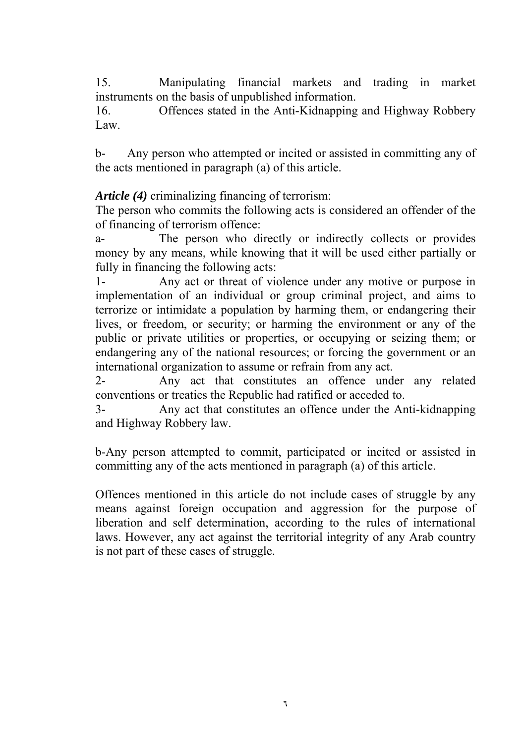15. Manipulating financial markets and trading in market instruments on the basis of unpublished information.

16. Offences stated in the Anti-Kidnapping and Highway Robbery Law.

b- Any person who attempted or incited or assisted in committing any of the acts mentioned in paragraph (a) of this article.

*Article (4)* criminalizing financing of terrorism:

The person who commits the following acts is considered an offender of the of financing of terrorism offence:

a- The person who directly or indirectly collects or provides money by any means, while knowing that it will be used either partially or fully in financing the following acts:

1- Any act or threat of violence under any motive or purpose in implementation of an individual or group criminal project, and aims to terrorize or intimidate a population by harming them, or endangering their lives, or freedom, or security; or harming the environment or any of the public or private utilities or properties, or occupying or seizing them; or endangering any of the national resources; or forcing the government or an international organization to assume or refrain from any act.

2- Any act that constitutes an offence under any related conventions or treaties the Republic had ratified or acceded to.

3- Any act that constitutes an offence under the Anti-kidnapping and Highway Robbery law.

b-Any person attempted to commit, participated or incited or assisted in committing any of the acts mentioned in paragraph (a) of this article.

Offences mentioned in this article do not include cases of struggle by any means against foreign occupation and aggression for the purpose of liberation and self determination, according to the rules of international laws. However, any act against the territorial integrity of any Arab country is not part of these cases of struggle.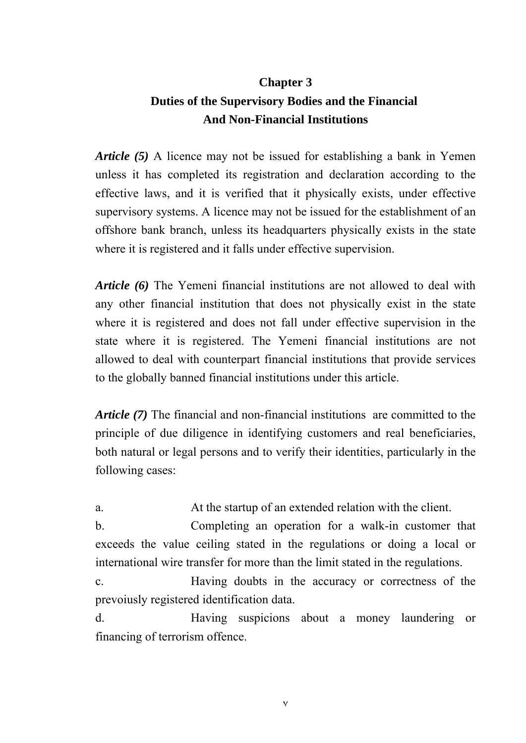# **Chapter 3 Duties of the Supervisory Bodies and the Financial And Non-Financial Institutions**

*Article (5)* A licence may not be issued for establishing a bank in Yemen unless it has completed its registration and declaration according to the effective laws, and it is verified that it physically exists, under effective supervisory systems. A licence may not be issued for the establishment of an offshore bank branch, unless its headquarters physically exists in the state where it is registered and it falls under effective supervision.

*Article (6)* The Yemeni financial institutions are not allowed to deal with any other financial institution that does not physically exist in the state where it is registered and does not fall under effective supervision in the state where it is registered. The Yemeni financial institutions are not allowed to deal with counterpart financial institutions that provide services to the globally banned financial institutions under this article.

*Article (7)* The financial and non-financial institutions are committed to the principle of due diligence in identifying customers and real beneficiaries, both natural or legal persons and to verify their identities, particularly in the following cases:

a. At the startup of an extended relation with the client.

b. Completing an operation for a walk-in customer that exceeds the value ceiling stated in the regulations or doing a local or international wire transfer for more than the limit stated in the regulations.

c. Having doubts in the accuracy or correctness of the prevoiusly registered identification data.

d. Having suspicions about a money laundering or financing of terrorism offence.

٧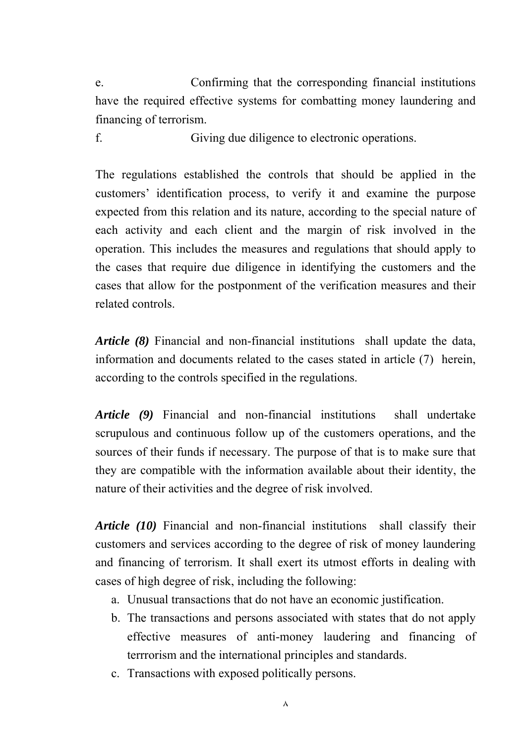e. Confirming that the corresponding financial institutions have the required effective systems for combatting money laundering and financing of terrorism.

f. Giving due diligence to electronic operations.

The regulations established the controls that should be applied in the customers' identification process, to verify it and examine the purpose expected from this relation and its nature, according to the special nature of each activity and each client and the margin of risk involved in the operation. This includes the measures and regulations that should apply to the cases that require due diligence in identifying the customers and the cases that allow for the postponment of the verification measures and their related controls.

*Article (8)* Financial and non-financial institutions shall update the data, information and documents related to the cases stated in article (7) herein, according to the controls specified in the regulations.

*Article (9)* Financial and non-financial institutions shall undertake scrupulous and continuous follow up of the customers operations, and the sources of their funds if necessary. The purpose of that is to make sure that they are compatible with the information available about their identity, the nature of their activities and the degree of risk involved.

*Article (10)* Financial and non-financial institutions shall classify their customers and services according to the degree of risk of money laundering and financing of terrorism. It shall exert its utmost efforts in dealing with cases of high degree of risk, including the following:

- a. Unusual transactions that do not have an economic justification.
- b. The transactions and persons associated with states that do not apply effective measures of anti-money laudering and financing of terrrorism and the international principles and standards.
- c. Transactions with exposed politically persons.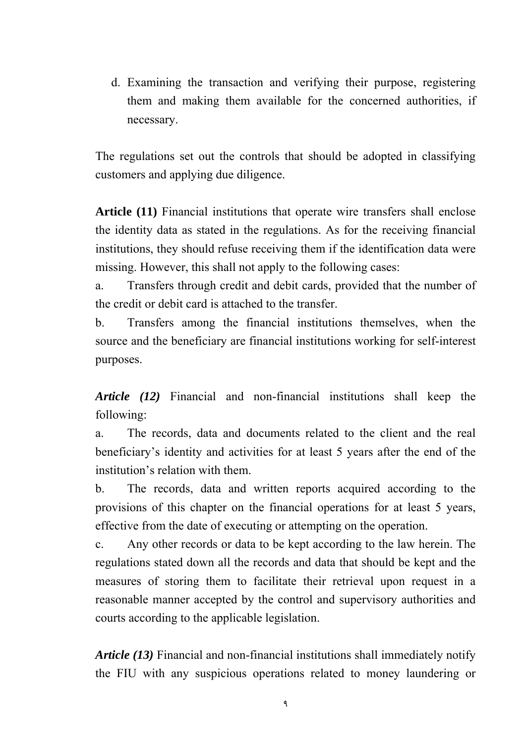d. Examining the transaction and verifying their purpose, registering them and making them available for the concerned authorities, if necessary.

The regulations set out the controls that should be adopted in classifying customers and applying due diligence.

**Article (11)** Financial institutions that operate wire transfers shall enclose the identity data as stated in the regulations. As for the receiving financial institutions, they should refuse receiving them if the identification data were missing. However, this shall not apply to the following cases:

a. Transfers through credit and debit cards, provided that the number of the credit or debit card is attached to the transfer.

b. Transfers among the financial institutions themselves, when the source and the beneficiary are financial institutions working for self-interest purposes.

*Article (12)* Financial and non-financial institutions shall keep the following:

a. The records, data and documents related to the client and the real beneficiary's identity and activities for at least 5 years after the end of the institution's relation with them.

b. The records, data and written reports acquired according to the provisions of this chapter on the financial operations for at least 5 years, effective from the date of executing or attempting on the operation.

c. Any other records or data to be kept according to the law herein. The regulations stated down all the records and data that should be kept and the measures of storing them to facilitate their retrieval upon request in a reasonable manner accepted by the control and supervisory authorities and courts according to the applicable legislation.

*Article (13)* Financial and non-financial institutions shall immediately notify the FIU with any suspicious operations related to money laundering or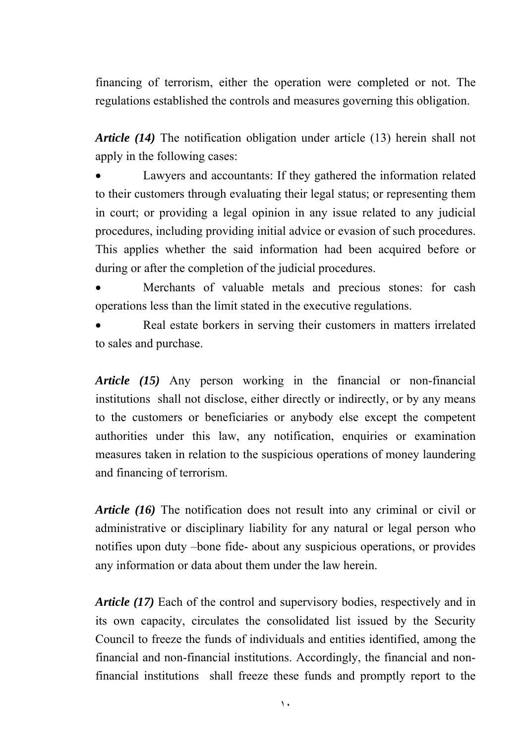financing of terrorism, either the operation were completed or not. The regulations established the controls and measures governing this obligation.

*Article (14)* The notification obligation under article (13) herein shall not apply in the following cases:

 Lawyers and accountants: If they gathered the information related to their customers through evaluating their legal status; or representing them in court; or providing a legal opinion in any issue related to any judicial procedures, including providing initial advice or evasion of such procedures. This applies whether the said information had been acquired before or during or after the completion of the judicial procedures.

 Merchants of valuable metals and precious stones: for cash operations less than the limit stated in the executive regulations.

 Real estate borkers in serving their customers in matters irrelated to sales and purchase.

*Article (15)* Any person working in the financial or non-financial institutions shall not disclose, either directly or indirectly, or by any means to the customers or beneficiaries or anybody else except the competent authorities under this law, any notification, enquiries or examination measures taken in relation to the suspicious operations of money laundering and financing of terrorism.

*Article (16)* The notification does not result into any criminal or civil or administrative or disciplinary liability for any natural or legal person who notifies upon duty –bone fide- about any suspicious operations, or provides any information or data about them under the law herein.

*Article (17)* Each of the control and supervisory bodies, respectively and in its own capacity, circulates the consolidated list issued by the Security Council to freeze the funds of individuals and entities identified, among the financial and non-financial institutions. Accordingly, the financial and nonfinancial institutions shall freeze these funds and promptly report to the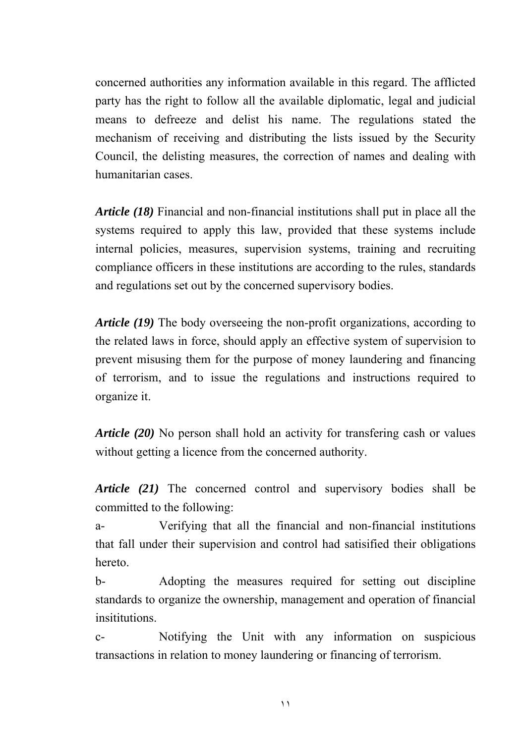concerned authorities any information available in this regard. The afflicted party has the right to follow all the available diplomatic, legal and judicial means to defreeze and delist his name. The regulations stated the mechanism of receiving and distributing the lists issued by the Security Council, the delisting measures, the correction of names and dealing with humanitarian cases.

*Article (18)* Financial and non-financial institutions shall put in place all the systems required to apply this law, provided that these systems include internal policies, measures, supervision systems, training and recruiting compliance officers in these institutions are according to the rules, standards and regulations set out by the concerned supervisory bodies.

*Article (19)* The body overseeing the non-profit organizations, according to the related laws in force, should apply an effective system of supervision to prevent misusing them for the purpose of money laundering and financing of terrorism, and to issue the regulations and instructions required to organize it.

*Article (20)* No person shall hold an activity for transfering cash or values without getting a licence from the concerned authority.

*Article (21)* The concerned control and supervisory bodies shall be committed to the following:

a- Verifying that all the financial and non-financial institutions that fall under their supervision and control had satisified their obligations hereto.

b- Adopting the measures required for setting out discipline standards to organize the ownership, management and operation of financial insititutions.

c- Notifying the Unit with any information on suspicious transactions in relation to money laundering or financing of terrorism.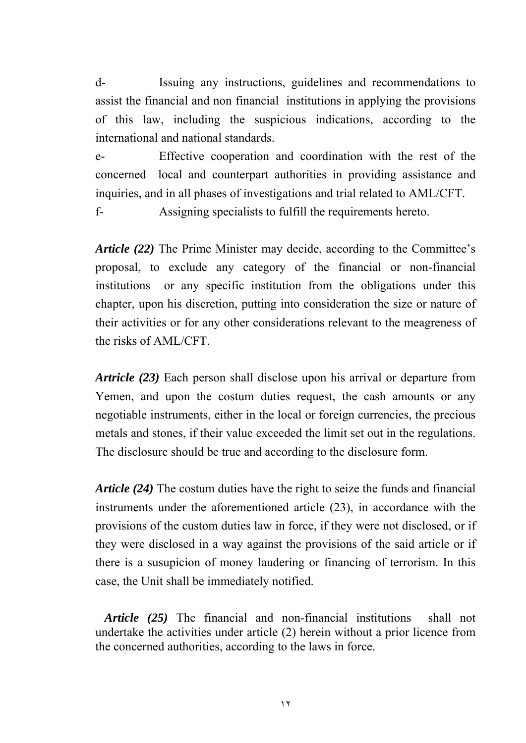d- Issuing any instructions, guidelines and recommendations to assist the financial and non financial institutions in applying the provisions of this law, including the suspicious indications, according to the international and national standards.

e- Effective cooperation and coordination with the rest of the concerned local and counterpart authorities in providing assistance and inquiries, and in all phases of investigations and trial related to AML/CFT.

f- Assigning specialists to fulfill the requirements hereto.

*Article (22)* The Prime Minister may decide, according to the Committee's proposal, to exclude any category of the financial or non-financial institutions or any specific institution from the obligations under this chapter, upon his discretion, putting into consideration the size or nature of their activities or for any other considerations relevant to the meagreness of the risks of AML/CFT.

*Artricle (23)* Each person shall disclose upon his arrival or departure from Yemen, and upon the costum duties request, the cash amounts or any negotiable instruments, either in the local or foreign currencies, the precious metals and stones, if their value exceeded the limit set out in the regulations. The disclosure should be true and according to the disclosure form.

*Article (24)* The costum duties have the right to seize the funds and financial instruments under the aforementioned article (23), in accordance with the provisions of the custom duties law in force, if they were not disclosed, or if they were disclosed in a way against the provisions of the said article or if there is a susupicion of money laudering or financing of terrorism. In this case, the Unit shall be immediately notified.

 *Article (25)* The financial and non-financial institutions shall not undertake the activities under article (2) herein without a prior licence from the concerned authorities, according to the laws in force.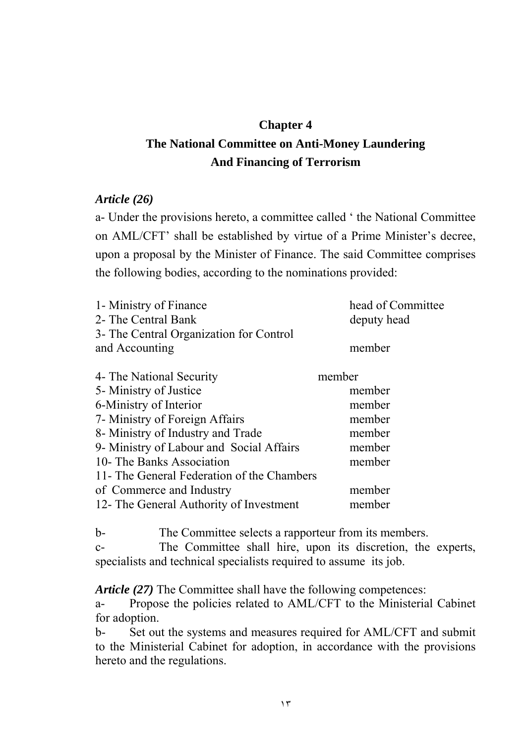# **Chapter 4**

# **The National Committee on Anti-Money Laundering And Financing of Terrorism**

### *Article (26)*

a- Under the provisions hereto, a committee called ' the National Committee on AML/CFT' shall be established by virtue of a Prime Minister's decree, upon a proposal by the Minister of Finance. The said Committee comprises the following bodies, according to the nominations provided:

| 1- Ministry of Finance                     | head of Committee |
|--------------------------------------------|-------------------|
| 2- The Central Bank                        | deputy head       |
| 3- The Central Organization for Control    |                   |
| and Accounting                             | member            |
| 4- The National Security                   | member            |
| 5- Ministry of Justice                     | member            |
| 6-Ministry of Interior                     | member            |
| 7- Ministry of Foreign Affairs             | member            |
| 8- Ministry of Industry and Trade          | member            |
| 9- Ministry of Labour and Social Affairs   | member            |
| 10- The Banks Association                  | member            |
| 11- The General Federation of the Chambers |                   |
| of Commerce and Industry                   | member            |
| 12- The General Authority of Investment    | member            |

b- The Committee selects a rapporteur from its members. c- The Committee shall hire, upon its discretion, the experts, specialists and technical specialists required to assume its job.

*Article (27)* The Committee shall have the following competences:

a- Propose the policies related to AML/CFT to the Ministerial Cabinet for adoption.

b- Set out the systems and measures required for AML/CFT and submit to the Ministerial Cabinet for adoption, in accordance with the provisions hereto and the regulations.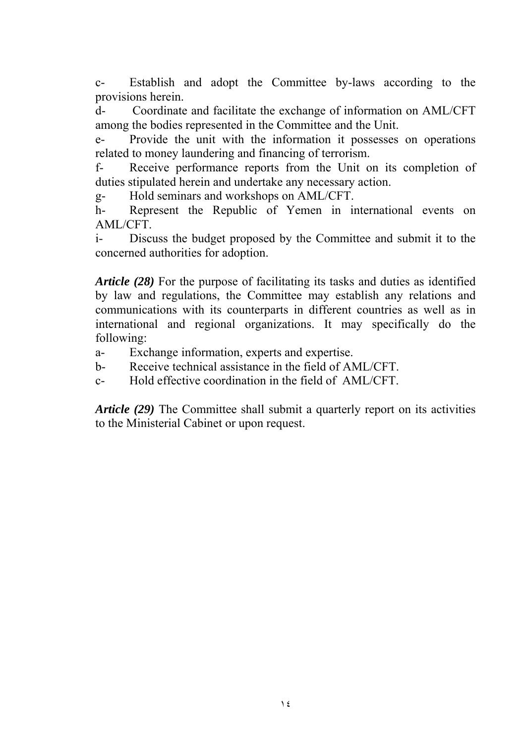c- Establish and adopt the Committee by-laws according to the provisions herein.

d- Coordinate and facilitate the exchange of information on AML/CFT among the bodies represented in the Committee and the Unit.

e- Provide the unit with the information it possesses on operations related to money laundering and financing of terrorism.

f- Receive performance reports from the Unit on its completion of duties stipulated herein and undertake any necessary action.

g- Hold seminars and workshops on AML/CFT.

h- Represent the Republic of Yemen in international events on AML/CFT.

i- Discuss the budget proposed by the Committee and submit it to the concerned authorities for adoption.

*Article (28)* For the purpose of facilitating its tasks and duties as identified by law and regulations, the Committee may establish any relations and communications with its counterparts in different countries as well as in international and regional organizations. It may specifically do the following:

- a- Exchange information, experts and expertise.
- b- Receive technical assistance in the field of AML/CFT.
- c- Hold effective coordination in the field of AML/CFT.

*Article (29)* The Committee shall submit a quarterly report on its activities to the Ministerial Cabinet or upon request.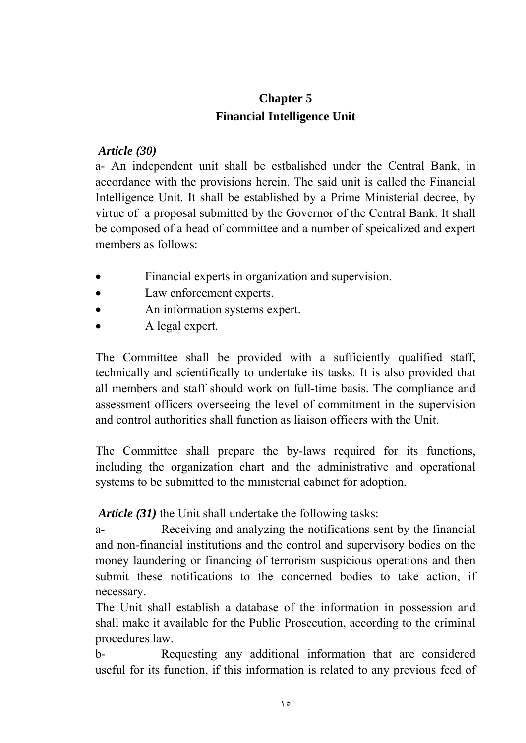## **Chapter 5 Financial Intelligence Unit**

### *Article (30)*

a- An independent unit shall be estbalished under the Central Bank, in accordance with the provisions herein. The said unit is called the Financial Intelligence Unit. It shall be established by a Prime Ministerial decree, by virtue of a proposal submitted by the Governor of the Central Bank. It shall be composed of a head of committee and a number of speicalized and expert members as follows:

- Financial experts in organization and supervision.
- Law enforcement experts.
- An information systems expert.
- A legal expert.

The Committee shall be provided with a sufficiently qualified staff, technically and scientifically to undertake its tasks. It is also provided that all members and staff should work on full-time basis. The compliance and assessment officers overseeing the level of commitment in the supervision and control authorities shall function as liaison officers with the Unit.

The Committee shall prepare the by-laws required for its functions, including the organization chart and the administrative and operational systems to be submitted to the ministerial cabinet for adoption.

 *Article (31)* the Unit shall undertake the following tasks:

a- Receiving and analyzing the notifications sent by the financial and non-financial institutions and the control and supervisory bodies on the money laundering or financing of terrorism suspicious operations and then submit these notifications to the concerned bodies to take action, if necessary.

The Unit shall establish a database of the information in possession and shall make it available for the Public Prosecution, according to the criminal procedures law.

b- Requesting any additional information that are considered useful for its function, if this information is related to any previous feed of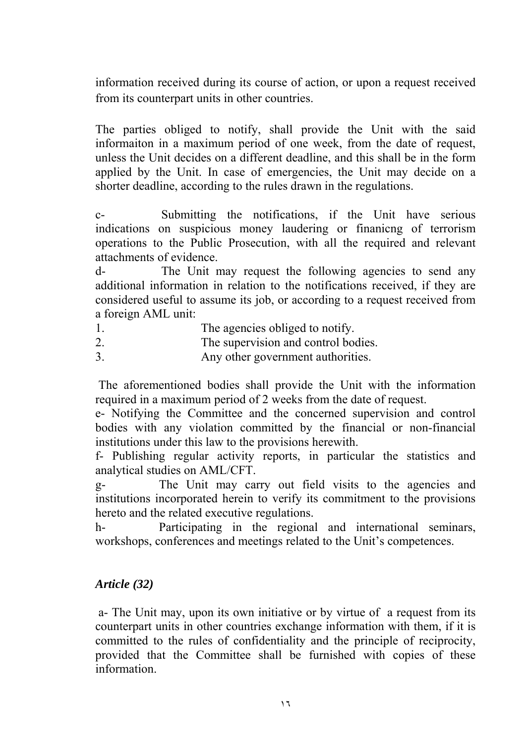information received during its course of action, or upon a request received from its counterpart units in other countries.

The parties obliged to notify, shall provide the Unit with the said informaiton in a maximum period of one week, from the date of request, unless the Unit decides on a different deadline, and this shall be in the form applied by the Unit. In case of emergencies, the Unit may decide on a shorter deadline, according to the rules drawn in the regulations.

c- Submitting the notifications, if the Unit have serious indications on suspicious money laudering or finanicng of terrorism operations to the Public Prosecution, with all the required and relevant attachments of evidence.

d- The Unit may request the following agencies to send any additional information in relation to the notifications received, if they are considered useful to assume its job, or according to a request received from a foreign AML unit:

- 1. The agencies obliged to notify.
- 2. The supervision and control bodies.
- 3. Any other government authorities.

 The aforementioned bodies shall provide the Unit with the information required in a maximum period of 2 weeks from the date of request.

e- Notifying the Committee and the concerned supervision and control bodies with any violation committed by the financial or non-financial institutions under this law to the provisions herewith.

f- Publishing regular activity reports, in particular the statistics and analytical studies on AML/CFT.

g- The Unit may carry out field visits to the agencies and institutions incorporated herein to verify its commitment to the provisions hereto and the related executive regulations.

h- Participating in the regional and international seminars, workshops, conferences and meetings related to the Unit's competences.

#### *Article (32)*

 a- The Unit may, upon its own initiative or by virtue of a request from its counterpart units in other countries exchange information with them, if it is committed to the rules of confidentiality and the principle of reciprocity, provided that the Committee shall be furnished with copies of these information.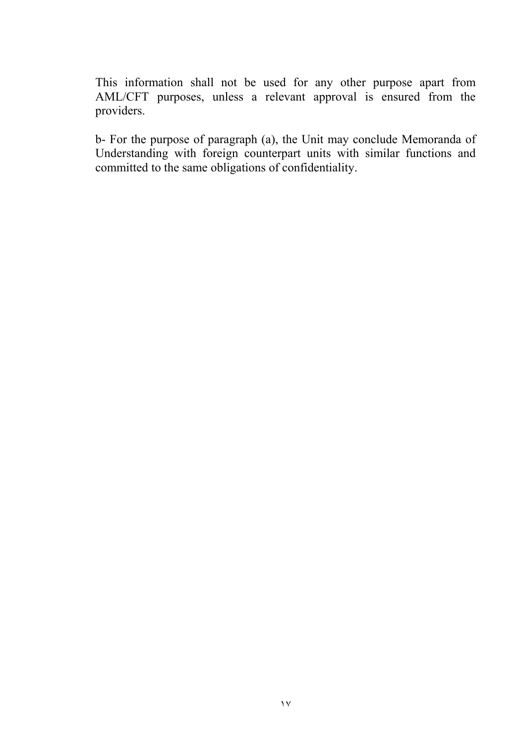This information shall not be used for any other purpose apart from AML/CFT purposes, unless a relevant approval is ensured from the providers.

b- For the purpose of paragraph (a), the Unit may conclude Memoranda of Understanding with foreign counterpart units with similar functions and committed to the same obligations of confidentiality.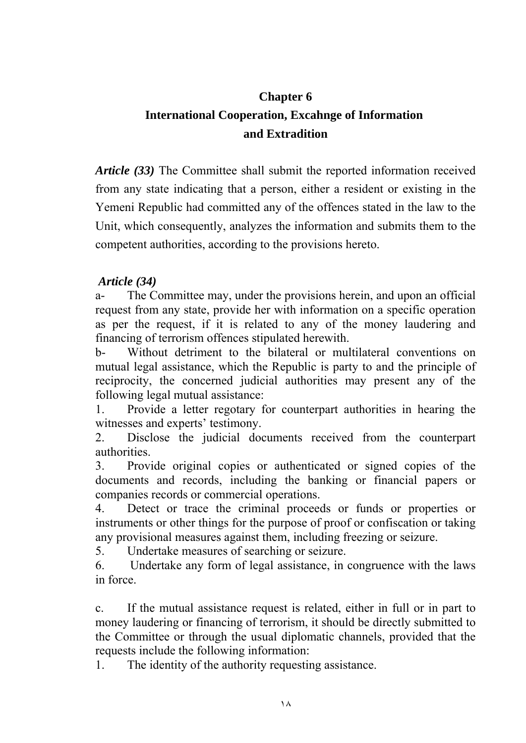# **Chapter 6 International Cooperation, Excahnge of Information and Extradition**

*Article (33)* The Committee shall submit the reported information received from any state indicating that a person, either a resident or existing in the Yemeni Republic had committed any of the offences stated in the law to the Unit, which consequently, analyzes the information and submits them to the competent authorities, according to the provisions hereto.

#### *Article (34)*

a- The Committee may, under the provisions herein, and upon an official request from any state, provide her with information on a specific operation as per the request, if it is related to any of the money laudering and financing of terrorism offences stipulated herewith.

b- Without detriment to the bilateral or multilateral conventions on mutual legal assistance, which the Republic is party to and the principle of reciprocity, the concerned judicial authorities may present any of the following legal mutual assistance:

1. Provide a letter regotary for counterpart authorities in hearing the witnesses and experts' testimony.

2. Disclose the judicial documents received from the counterpart authorities.

3. Provide original copies or authenticated or signed copies of the documents and records, including the banking or financial papers or companies records or commercial operations.

4. Detect or trace the criminal proceeds or funds or properties or instruments or other things for the purpose of proof or confiscation or taking any provisional measures against them, including freezing or seizure.

5. Undertake measures of searching or seizure.

6. Undertake any form of legal assistance, in congruence with the laws in force.

c. If the mutual assistance request is related, either in full or in part to money laudering or financing of terrorism, it should be directly submitted to the Committee or through the usual diplomatic channels, provided that the requests include the following information:

1. The identity of the authority requesting assistance.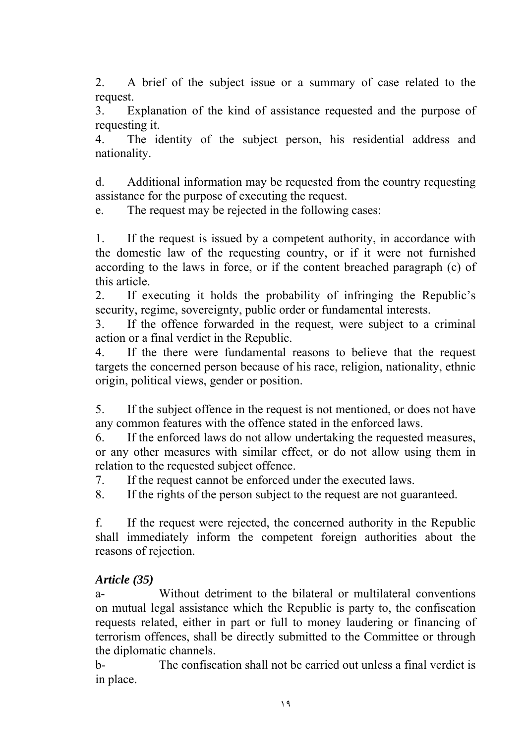2. A brief of the subject issue or a summary of case related to the request.

3. Explanation of the kind of assistance requested and the purpose of requesting it.

4. The identity of the subject person, his residential address and nationality.

d. Additional information may be requested from the country requesting assistance for the purpose of executing the request.

e. The request may be rejected in the following cases:

1. If the request is issued by a competent authority, in accordance with the domestic law of the requesting country, or if it were not furnished according to the laws in force, or if the content breached paragraph (c) of this article.

2. If executing it holds the probability of infringing the Republic's security, regime, sovereignty, public order or fundamental interests.

3. If the offence forwarded in the request, were subject to a criminal action or a final verdict in the Republic.

4. If the there were fundamental reasons to believe that the request targets the concerned person because of his race, religion, nationality, ethnic origin, political views, gender or position.

5. If the subject offence in the request is not mentioned, or does not have any common features with the offence stated in the enforced laws.

6. If the enforced laws do not allow undertaking the requested measures, or any other measures with similar effect, or do not allow using them in relation to the requested subject offence.

7. If the request cannot be enforced under the executed laws.

8. If the rights of the person subject to the request are not guaranteed.

f. If the request were rejected, the concerned authority in the Republic shall immediately inform the competent foreign authorities about the reasons of rejection.

### *Article (35)*

a- Without detriment to the bilateral or multilateral conventions on mutual legal assistance which the Republic is party to, the confiscation requests related, either in part or full to money laudering or financing of terrorism offences, shall be directly submitted to the Committee or through the diplomatic channels.

b- The confiscation shall not be carried out unless a final verdict is in place.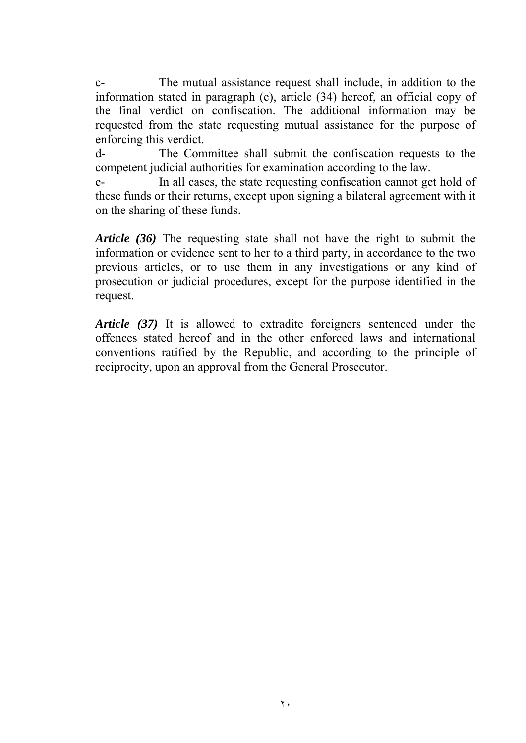c- The mutual assistance request shall include, in addition to the information stated in paragraph (c), article (34) hereof, an official copy of the final verdict on confiscation. The additional information may be requested from the state requesting mutual assistance for the purpose of enforcing this verdict.

d- The Committee shall submit the confiscation requests to the competent judicial authorities for examination according to the law.

e- In all cases, the state requesting confiscation cannot get hold of these funds or their returns, except upon signing a bilateral agreement with it on the sharing of these funds.

*Article (36)* The requesting state shall not have the right to submit the information or evidence sent to her to a third party, in accordance to the two previous articles, or to use them in any investigations or any kind of prosecution or judicial procedures, except for the purpose identified in the request.

*Article (37)* It is allowed to extradite foreigners sentenced under the offences stated hereof and in the other enforced laws and international conventions ratified by the Republic, and according to the principle of reciprocity, upon an approval from the General Prosecutor.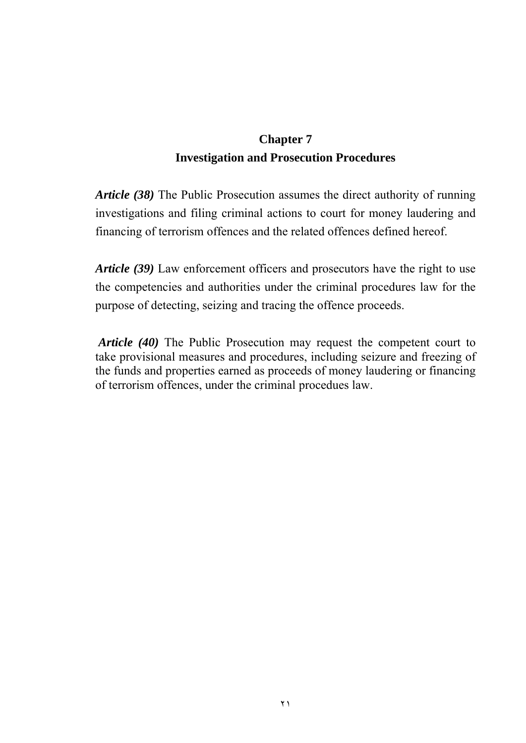## **Chapter 7 Investigation and Prosecution Procedures**

*Article (38)* The Public Prosecution assumes the direct authority of running investigations and filing criminal actions to court for money laudering and financing of terrorism offences and the related offences defined hereof.

*Article (39)* Law enforcement officers and prosecutors have the right to use the competencies and authorities under the criminal procedures law for the purpose of detecting, seizing and tracing the offence proceeds.

*Article (40)* The Public Prosecution may request the competent court to take provisional measures and procedures, including seizure and freezing of the funds and properties earned as proceeds of money laudering or financing of terrorism offences, under the criminal procedues law.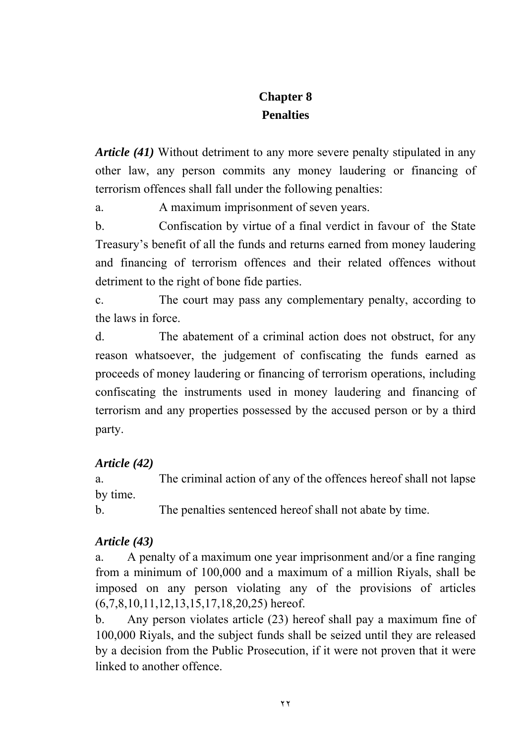# **Chapter 8 Penalties**

*Article (41)* Without detriment to any more severe penalty stipulated in any other law, any person commits any money laudering or financing of terrorism offences shall fall under the following penalties:

a. A maximum imprisonment of seven years.

b. Confiscation by virtue of a final verdict in favour of the State Treasury's benefit of all the funds and returns earned from money laudering and financing of terrorism offences and their related offences without detriment to the right of bone fide parties.

c. The court may pass any complementary penalty, according to the laws in force.

d. The abatement of a criminal action does not obstruct, for any reason whatsoever, the judgement of confiscating the funds earned as proceeds of money laudering or financing of terrorism operations, including confiscating the instruments used in money laudering and financing of terrorism and any properties possessed by the accused person or by a third party.

## *Article (42)*

a. The criminal action of any of the offences hereof shall not lapse by time.

b. The penalties sentenced hereof shall not abate by time.

## *Article (43)*

a. A penalty of a maximum one year imprisonment and/or a fine ranging from a minimum of 100,000 and a maximum of a million Riyals, shall be imposed on any person violating any of the provisions of articles  $(6,7,8,10,11,12,13,15,17,18,20,25)$  hereof.

b. Any person violates article (23) hereof shall pay a maximum fine of 100,000 Riyals, and the subject funds shall be seized until they are released by a decision from the Public Prosecution, if it were not proven that it were linked to another offence.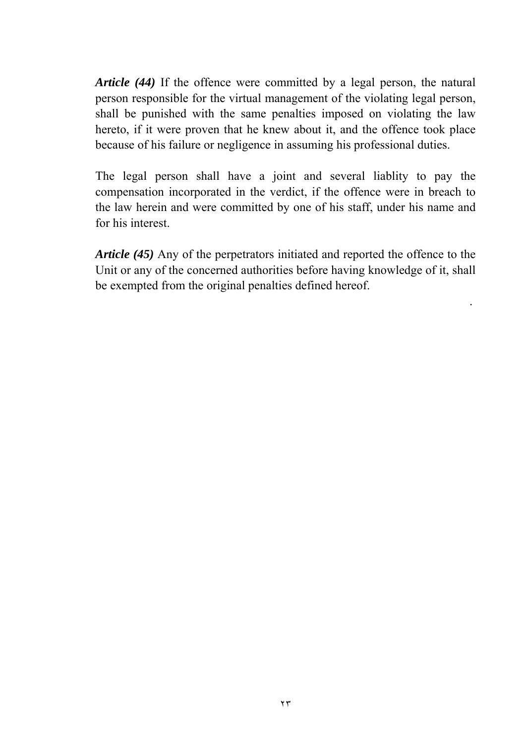*Article (44)* If the offence were committed by a legal person, the natural person responsible for the virtual management of the violating legal person, shall be punished with the same penalties imposed on violating the law hereto, if it were proven that he knew about it, and the offence took place because of his failure or negligence in assuming his professional duties.

The legal person shall have a joint and several liablity to pay the compensation incorporated in the verdict, if the offence were in breach to the law herein and were committed by one of his staff, under his name and for his interest.

*Article (45)* Any of the perpetrators initiated and reported the offence to the Unit or any of the concerned authorities before having knowledge of it, shall be exempted from the original penalties defined hereof.

.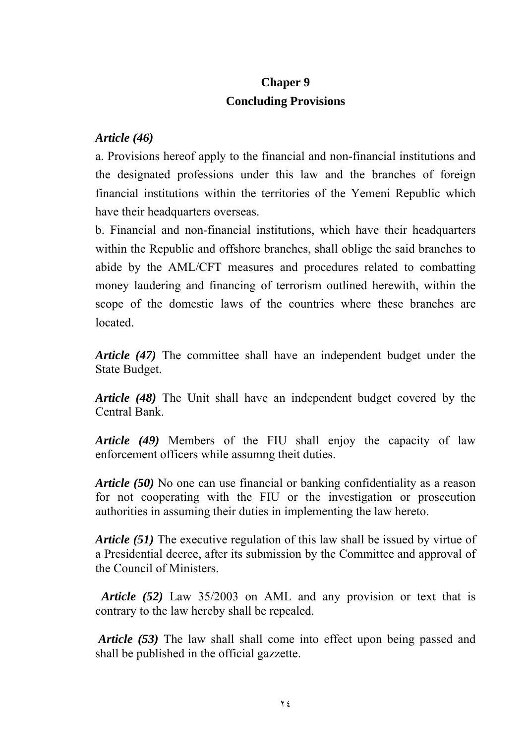## **Chaper 9 Concluding Provisions**

### *Article (46)*

a. Provisions hereof apply to the financial and non-financial institutions and the designated professions under this law and the branches of foreign financial institutions within the territories of the Yemeni Republic which have their headquarters overseas.

b. Financial and non-financial institutions, which have their headquarters within the Republic and offshore branches, shall oblige the said branches to abide by the AML/CFT measures and procedures related to combatting money laudering and financing of terrorism outlined herewith, within the scope of the domestic laws of the countries where these branches are located.

*Article (47)* The committee shall have an independent budget under the State Budget.

*Article (48)* The Unit shall have an independent budget covered by the Central Bank.

*Article (49)* Members of the FIU shall enjoy the capacity of law enforcement officers while assumng theit duties.

*Article (50)* No one can use financial or banking confidentiality as a reason for not cooperating with the FIU or the investigation or prosecution authorities in assuming their duties in implementing the law hereto.

*Article (51)* The executive regulation of this law shall be issued by virtue of a Presidential decree, after its submission by the Committee and approval of the Council of Ministers.

 *Article (52)* Law 35/2003 on AML and any provision or text that is contrary to the law hereby shall be repealed.

*Article (53)* The law shall shall come into effect upon being passed and shall be published in the official gazzette.